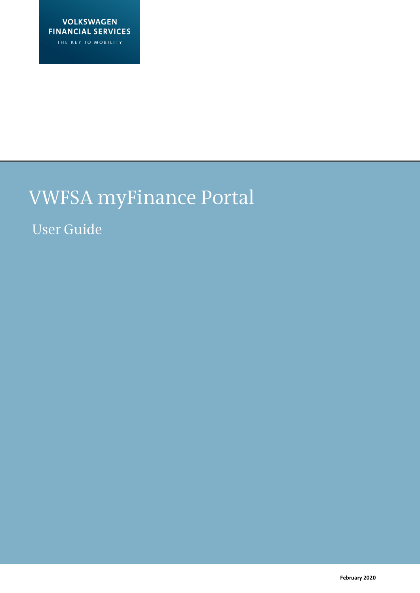

# VWFSA myFinance Portal

User Guide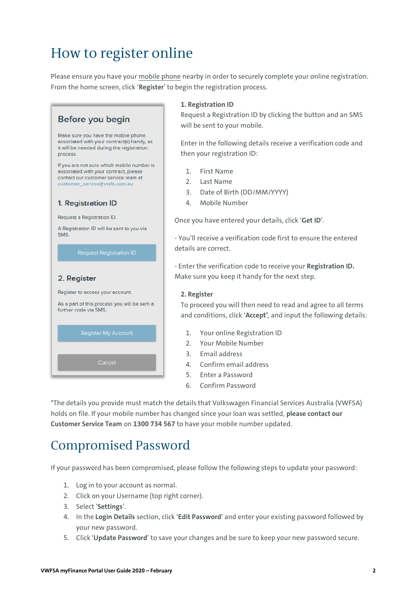# How to register online

Please ensure you have your mobile phone nearby in order to securely complete your online registration. From the home screen, click '**Register**' to begin the registration process.

#### **Before you begin** Make sure you have the mobile phone associated with your contract(s) handy, as it will be needed during the registration process. If you are not sure which mobile number is associated with your contract, please contact our customer service team at customer service@vwfs.com.au 1. Registration ID Request a Registration ID. A Registration ID will be sent to you via **SMS** Request Registration ID 2. Register Register to access your account. As a part of this process you will be sent a further code via SMS. Cancel

#### **1. Registration ID**

Request a Registration ID by clicking the button and an SMS will be sent to your mobile.

Enter in the following details receive a verification code and then your registration ID:

- 1. First Name
- 2. Last Name
- 3. Date of Birth (DD/MM/YYYY)
- 4. Mobile Number

Once you have entered your details, click '**Get ID**'.

- You'll receive a verification code first to ensure the entered details are correct.

- Enter the verification code to receive your **Registration ID.** Make sure you keep it handy for the next step.

#### **2. Register**

To proceed you will then need to read and agree to all terms and conditions, click '**Accept'***,* and input the following details:

- 1. Your online Registration ID
- 2. Your Mobile Number
- 3. Email address
- 4. Confirm email address
- 5. Enter a Password
- 6. Confirm Password

\*The details you provide must match the details that Volkswagen Financial Services Australia (VWFSA) holds on file. If your mobile number has changed since your loan was settled, **please contact our Customer Service Team** on **1300 734 567** to have your mobile number updated.

#### Compromised Password

If your password has been compromised, please follow the following steps to update your password:

- 1. Log in to your account as normal.
- 2. Click on your Username (top right corner).
- 3. Select '**Settings**'.
- 4. In the **Login Details** section, click '**Edit Password**' and enter your existing password followed by your new password.
- 5. Click '**Update Password**' to save your changes and be sure to keep your new password secure.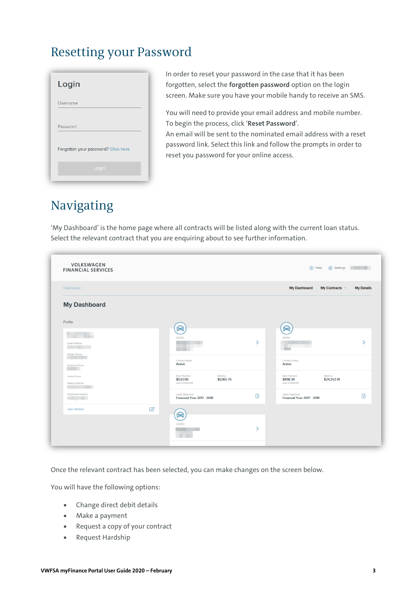#### Resetting your Password

| Login                               |  |
|-------------------------------------|--|
| Username                            |  |
| Password                            |  |
| Forgotten your password? Click here |  |
| Login                               |  |

In order to reset your password in the case that it has been forgotten, select the **forgotten password** option on the login screen. Make sure you have your mobile handy to receive an SMS.

You will need to provide your email address and mobile number. To begin the process, click '**Reset Password**'.

An email will be sent to the nominated email address with a reset password link. Select this link and follow the prompts in order to reset you password for your online access.

# Navigating

'My Dashboard' is the home page where all contracts will be listed along with the current loan status. Select the relevant contract that you are enquiring about to see further information.

| <b>VOLKSWAGEN</b><br><b>FINANCIAL SERVICES</b> |                |                                                                     |                 | $(2)$ Help                                                           | <b>O</b> Settings |
|------------------------------------------------|----------------|---------------------------------------------------------------------|-----------------|----------------------------------------------------------------------|-------------------|
| Dashboard                                      |                |                                                                     |                 | <b>My Dashboard</b><br>My Contracts $\vee$                           | <b>My Details</b> |
| <b>My Dashboard</b>                            |                |                                                                     |                 |                                                                      |                   |
| Profile                                        |                | ⇔                                                                   |                 | ◒                                                                    |                   |
| .<br><b>Email Address</b>                      |                | 263010                                                              | <sup>&gt;</sup> | 465194                                                               | У                 |
| Mobile Phone<br><b>Business Phone</b>          |                | <b>Contract Status</b><br><b>Active</b>                             |                 | <b>Contract Status</b><br><b>Active</b>                              |                   |
| Home Phone<br><b>Mailing Address</b>           |                | Next Payment<br>Balance<br>\$533.00<br>\$1,065.75<br>Due 07/09/2018 |                 | Next Payment<br>Balance<br>\$898.30<br>\$24,253.91<br>Due 17/09/2018 |                   |
| <b>Residential Address</b>                     |                | <b>Latest Statement</b><br>Financial Year 2017 - 2018               | $\mathbb{F}$    | <b>Latest Statement</b><br>Financial Year 2017 - 2018                | $\mathbb{D}$      |
| <b>EDIT PROFILE</b>                            | $\overline{a}$ | ◒<br>243450<br>a sa                                                 | У               |                                                                      |                   |

Once the relevant contract has been selected, you can make changes on the screen below.

You will have the following options:

- Change direct debit details
- Make a payment
- Request a copy of your contract
- Request Hardship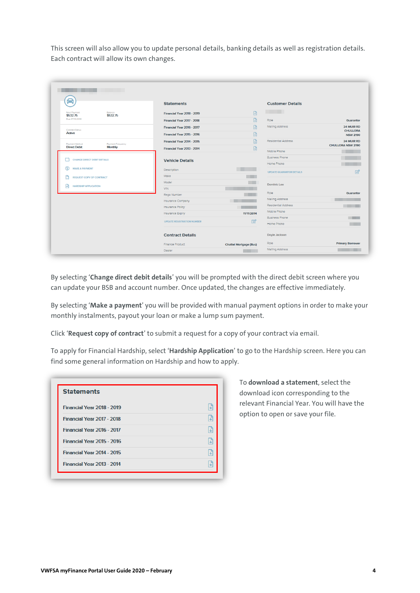This screen will also allow you to update personal details, banking details as well as registration details. Each contract will allow its own changes.

| -                                        |                            | <b>Statements</b>                 |                               | <b>Customer Details</b>         |                                        |
|------------------------------------------|----------------------------|-----------------------------------|-------------------------------|---------------------------------|----------------------------------------|
| Next Payment                             | Belonce                    | <b>Financial Year 2018 - 2019</b> | $\boxdot$                     |                                 |                                        |
| \$532.75<br>Due 07/10/2018               | \$532.75                   |                                   |                               |                                 |                                        |
|                                          |                            | Financial Year 2017 - 2018        | 圍                             | Role                            | Guarantor                              |
| Contract Status                          |                            | Financial Year 2016 - 2017        | 日                             | <b>Mailing Address</b>          | 24 MUIR RD<br><b>CHULLORA</b>          |
| Active                                   | Financial Year 2015 - 2016 | 団                                 |                               | <b>NSW 2190</b>                 |                                        |
| Payment Method                           | Payment Frequency          | Financial Year 2014 - 2015        | 開                             | <b>Residential Address</b>      | 24 MUIR RD<br><b>CHULLORA NSW 2190</b> |
| <b>Direct Debit</b>                      | <b>Monthly</b>             | Financial Year 2013 - 2014        | 圍                             | Mobile Phone                    |                                        |
|                                          |                            |                                   |                               | <b>Business Phone</b>           |                                        |
| n.<br><b>CHANGE DIRECT DEBIT DETAILS</b> |                            | <b>Vehicle Details</b>            |                               | Home Phone                      |                                        |
| ல<br><b>MAKE A PAYMENT</b>               |                            | Description                       | <b>The Common</b>             |                                 |                                        |
| M                                        |                            | Make                              |                               | <b>UPDATE GUARANTOR DETAILS</b> | 72                                     |
| <b>REQUEST COPY OF CONTRACT</b>          |                            | Model                             |                               |                                 |                                        |
| 日<br><b>HARDSHIP APPLICATION</b>         |                            | <b>VIN</b>                        |                               | <b>Dominic Lee</b>              |                                        |
|                                          |                            | Rego Number                       |                               | Role                            | Guarantor                              |
|                                          |                            | Insurance Company                 |                               | <b>Mailing Address</b>          |                                        |
|                                          |                            | Insurance Policy                  |                               | <b>Residential Address</b>      |                                        |
|                                          |                            | Insurance Expiry                  | 11/11/2014                    | Mobile Phone                    |                                        |
|                                          |                            | <b>UPDATE REGISTRATION NUMBER</b> | $\overline{\mathscr{A}}$      | <b>Business Phone</b>           |                                        |
|                                          |                            |                                   |                               | Home Phone                      |                                        |
|                                          |                            | <b>Contract Details</b>           |                               | Doyle Jackson                   |                                        |
|                                          |                            | Finance Product                   | <b>Chattel Mortgage (Bus)</b> | Role                            | <b>Primary Borrower</b>                |
|                                          |                            | Dealer                            |                               | <b>Mailing Address</b>          |                                        |

By selecting '**Change direct debit details**' you will be prompted with the direct debit screen where you can update your BSB and account number. Once updated, the changes are effective immediately.

By selecting '**Make a payment**' you will be provided with manual payment options in order to make your monthly instalments, payout your loan or make a lump sum payment.

Click '**Request copy of contract**' to submit a request for a copy of your contract via email.

To apply for Financial Hardship, select '**Hardship Application**' to go to the Hardship screen. Here you can find some general information on Hardship and how to apply.

| <b>Statements</b>                 |  |
|-----------------------------------|--|
| <b>Financial Year 2018 - 2019</b> |  |
| Financial Year 2017 - 2018        |  |
| Financial Year 2016 - 2017        |  |
| <b>Financial Year 2015 - 2016</b> |  |
| <b>Financial Year 2014 - 2015</b> |  |
| <b>Financial Year 2013 - 2014</b> |  |

To **download a statement**, select the download icon corresponding to the relevant Financial Year. You will have the option to open or save your file.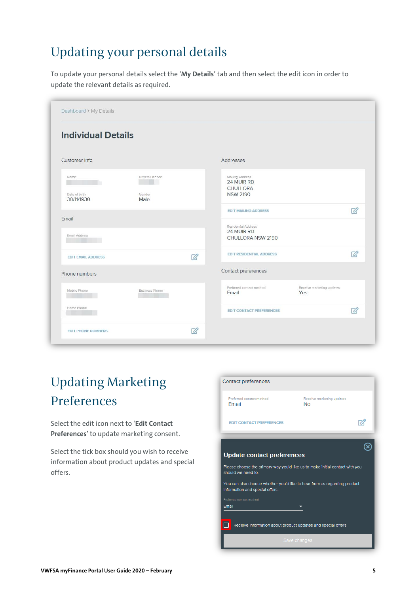# Updating your personal details

To update your personal details select the '**My Details**' tab and then select the edit icon in order to update the relevant details as required.

| <b>Individual Details</b>           |                                                   |                          |                                                                     |                                  |                          |
|-------------------------------------|---------------------------------------------------|--------------------------|---------------------------------------------------------------------|----------------------------------|--------------------------|
| <b>Customer Info</b>                |                                                   |                          | Addresses                                                           |                                  |                          |
| Name<br>Date of birth<br>30/11/1930 | Drivers Licence<br><u>man a</u><br>Gender<br>Male |                          | Mailing Address<br>24 MUIR RD<br><b>CHULLORA</b><br><b>NSW 2190</b> |                                  |                          |
| Email                               |                                                   |                          | <b>EDIT MAILING ADDRESS</b>                                         |                                  | $\overline{\mathscr{L}}$ |
| Email Address                       |                                                   |                          | <b>Residential Address</b><br>24 MUIR RD<br>CHULLORA NSW 2190       |                                  |                          |
| <b>EDIT EMAIL ADDRESS</b>           |                                                   | $\overline{\mathscr{L}}$ | <b>EDIT RESIDENTIAL ADDRESS</b>                                     |                                  | 72                       |
| Phone numbers                       |                                                   |                          | Contact preferences                                                 |                                  |                          |
| Mobile Phone                        | <b>Business Phone</b>                             |                          | Preferred contact method<br>Email                                   | Receive marketing updates<br>Yes |                          |
| Home Phone                          |                                                   |                          | EDIT CONTACT PREFERENCES                                            |                                  | 72                       |

# Updating Marketing Preferences

Select the edit icon next to '**Edit Contact Preferences**' to update marketing consent.

Select the tick box should you wish to receive information about product updates and special offers.

| Contact preferences                                                                                         |                                        |  |
|-------------------------------------------------------------------------------------------------------------|----------------------------------------|--|
| Preferred contact method<br>Fmail                                                                           | Receive marketing updates<br><b>No</b> |  |
| <b>EDIT CONTACT PREFERENCES</b>                                                                             |                                        |  |
|                                                                                                             |                                        |  |
| <b>Update contact preferences</b>                                                                           |                                        |  |
| Please choose the primary way you'd like us to make initial contact with you<br>should we need to.          |                                        |  |
| You can also choose whether you'd like to hear from us regarding product<br>information and special offers. |                                        |  |
| Preferred contact method                                                                                    |                                        |  |
| Email                                                                                                       |                                        |  |
| Receive information about product updates and special offers                                                |                                        |  |
|                                                                                                             |                                        |  |
|                                                                                                             | Save changes                           |  |
|                                                                                                             |                                        |  |